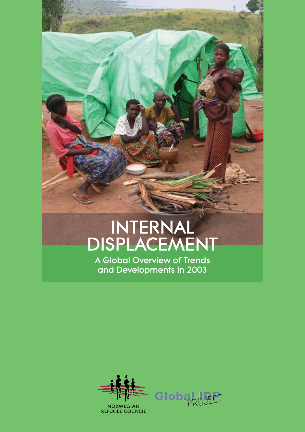# INTERNAL DISPLACEMENT

A Global Overview of Trends and Developments in 2003



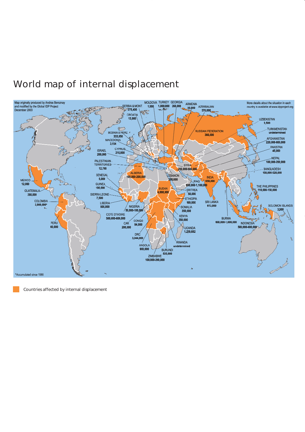# World map of internal displacement



Countries affected by internal displacement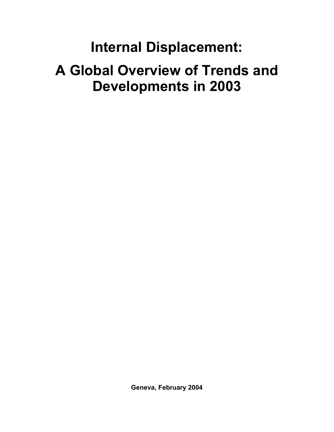# **Internal Displacement: A Global Overview of Trends and Developments in 2003**

**Geneva, February 2004**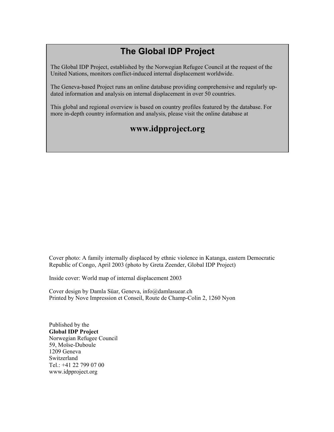## **The Global IDP Project**

The Global IDP Project, established by the Norwegian Refugee Council at the request of the United Nations, monitors conflict-induced internal displacement worldwide.

The Geneva-based Project runs an online database providing comprehensive and regularly updated information and analysis on internal displacement in over 50 countries.

This global and regional overview is based on country profiles featured by the database. For more in-depth country information and analysis, please visit the online database at

### **www.idpproject.org**

Cover photo: A family internally displaced by ethnic violence in Katanga, eastern Democratic Republic of Congo, April 2003 (photo by Greta Zeender, Global IDP Project)

Inside cover: World map of internal displacement 2003

Cover design by Damla Süar, Geneva, info@damlasuear.ch Printed by Nove Impression et Conseil, Route de Champ-Colin 2, 1260 Nyon

Published by the **Global IDP Project**  Norwegian Refugee Council 59, Moïse-Duboule 1209 Geneva Switzerland Tel.: +41 22 799 07 00 www.idpproject.org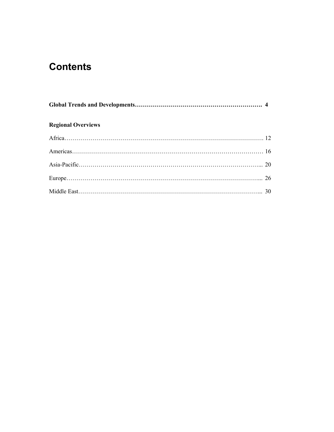## **Contents**

| <b>Regional Overviews</b> |  |
|---------------------------|--|
|                           |  |
|                           |  |
|                           |  |
|                           |  |
|                           |  |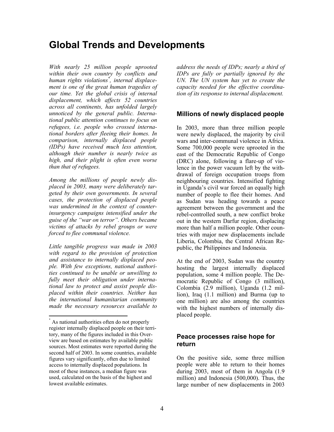### **Global Trends and Developments**

*With nearly 25 million people uprooted within their own country by conflicts and human rights violations\* , internal displacement is one of the great human tragedies of our time. Yet the global crisis of internal displacement, which affects 52 countries across all continents, has unfolded largely unnoticed by the general public. International public attention continues to focus on refugees, i.e. people who crossed international borders after fleeing their homes. In comparison, internally displaced people (IDPs) have received much less attention, although their number is nearly twice as high, and their plight is often even worse than that of refugees.* 

*Among the millions of people newly displaced in 2003, many were deliberately targeted by their own governments. In several cases, the protection of displaced people was undermined in the context of counterinsurgency campaigns intensified under the guise of the "war on terror". Others became victims of attacks by rebel groups or were forced to flee communal violence.* 

*Little tangible progress was made in 2003 with regard to the provision of protection and assistance to internally displaced people. With few exceptions, national authorities continued to be unable or unwilling to fully meet their obligation under international law to protect and assist people displaced within their countries. Neither has the international humanitarian community made the necessary resources available to* 

 $\overline{1}$ 

*address the needs of IDPs; nearly a third of IDPs are fully or partially ignored by the UN. The UN system has yet to create the capacity needed for the effective coordination of its response to internal displacement.* 

#### **Millions of newly displaced people**

In 2003, more than three million people were newly displaced, the majority by civil wars and inter-communal violence in Africa. Some 700,000 people were uprooted in the east of the Democratic Republic of Congo (DRC) alone, following a flare-up of violence in the power vacuum left by the withdrawal of foreign occupation troops from neighbouring countries. Intensified fighting in Uganda's civil war forced an equally high number of people to flee their homes. And as Sudan was heading towards a peace agreement between the government and the rebel-controlled south, a new conflict broke out in the western Darfur region, displacing more than half a million people. Other countries with major new displacements include Liberia, Colombia, the Central African Republic, the Philippines and Indonesia.

At the end of 2003, Sudan was the country hosting the largest internally displaced population, some 4 million people. The Democratic Republic of Congo (3 million), Colombia (2.9 million), Uganda (1.2 million), Iraq (1.1 million) and Burma (up to one million) are also among the countries with the highest numbers of internally displaced people.

#### **Peace processes raise hope for return**

On the positive side, some three million people were able to return to their homes during 2003, most of them in Angola (1.9 million) and Indonesia (500,000). Thus, the large number of new displacements in 2003

As national authorities often do not properly register internally displaced people on their territory, many of the figures included in this Overview are based on estimates by available public sources. Most estimates were reported during the second half of 2003. In some countries, available figures vary significantly, often due to limited access to internally displaced populations. In most of these instances, a median figure was used, calculated on the basis of the highest and lowest available estimates.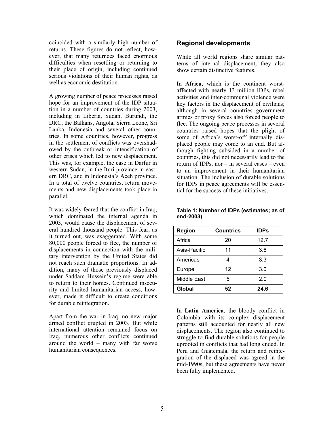coincided with a similarly high number of returns. These figures do not reflect, however, that many returnees faced enormous difficulties when resettling or returning to their place of origin, including continued serious violations of their human rights, as well as economic destitution.

A growing number of peace processes raised hope for an improvement of the IDP situation in a number of countries during 2003, including in Liberia, Sudan, Burundi, the DRC, the Balkans, Angola, Sierra Leone, Sri Lanka, Indonesia and several other countries. In some countries, however, progress in the settlement of conflicts was overshadowed by the outbreak or intensification of other crises which led to new displacement. This was, for example, the case in Darfur in western Sudan, in the Ituri province in eastern DRC, and in Indonesia's Aceh province. In a total of twelve countries, return movements and new displacements took place in parallel.

It was widely feared that the conflict in Iraq, which dominated the internal agenda in 2003, would cause the displacement of several hundred thousand people. This fear, as it turned out, was exaggerated. With some 80,000 people forced to flee, the number of displacements in connection with the military intervention by the United States did not reach such dramatic proportions. In addition, many of those previously displaced under Saddam Hussein's regime were able to return to their homes. Continued insecurity and limited humanitarian access, however, made it difficult to create conditions for durable reintegration.

Apart from the war in Iraq, no new major armed conflict erupted in 2003. But while international attention remained focus on Iraq, numerous other conflicts continued around the world – many with far worse humanitarian consequences.

#### **Regional developments**

While all world regions share similar patterns of internal displacement, they also show certain distinctive features.

In **Africa**, which is the continent worstaffected with nearly 13 million IDPs, rebel activities and inter-communal violence were key factors in the displacement of civilians; although in several countries government armies or proxy forces also forced people to flee. The ongoing peace processes in several countries raised hopes that the plight of some of Africa's worst-off internally displaced people may come to an end. But although fighting subsided in a number of countries, this did not necessarily lead to the return of IDPs, nor – in several cases – even to an improvement in their humanitarian situation. The inclusion of durable solutions for IDPs in peace agreements will be essential for the success of these initiatives.

| Region       | <b>Countries</b> | <b>IDPs</b> |
|--------------|------------------|-------------|
| Africa       | 20               | 12.7        |
| Asia-Pacific | 11               | 3.6         |
| Americas     |                  | 3.3         |
| Europe       | 12               | 3.0         |
| Middle East  | 5                | 2.0         |
| Global       | 52               | 24.6        |

#### **Table 1: Number of IDPs (estimates; as of end-2003)**

In **Latin America**, the bloody conflict in Colombia with its complex displacement patterns still accounted for nearly all new displacements. The region also continued to struggle to find durable solutions for people uprooted in conflicts that had long ended. In Peru and Guatemala, the return and reintegration of the displaced was agreed in the mid-1990s, but these agreements have never been fully implemented.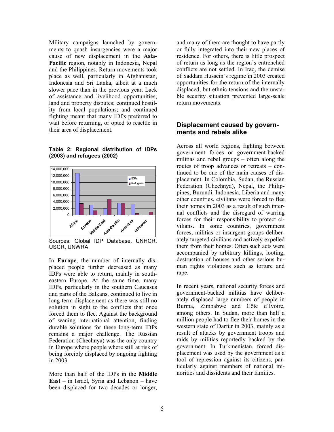Military campaigns launched by governments to quash insurgencies were a major cause of new displacement in the **Asia-Pacific** region, notably in Indonesia, Nepal and the Philippines. Return movements took place as well, particularly in Afghanistan, Indonesia and Sri Lanka, albeit at a much slower pace than in the previous year. Lack of assistance and livelihood opportunities; land and property disputes; continued hostility from local populations; and continued fighting meant that many IDPs preferred to wait before returning, or opted to resettle in their area of displacement.

**Table 2: Regional distribution of IDPs (2003) and refugees (2002)** 



Sources: Global IDP Database, UNHCR, USCR, UNWRA

In **Europe**, the number of internally displaced people further decreased as many IDPs were able to return, mainly in southeastern Europe. At the same time, many IDPs, particularly in the southern Caucasus and parts of the Balkans, continued to live in long-term displacement as there was still no solution in sight to the conflicts that once forced them to flee. Against the background of waning international attention, finding durable solutions for these long-term IDPs remains a major challenge. The Russian Federation (Chechnya) was the only country in Europe where people where still at risk of being forcibly displaced by ongoing fighting in 2003.

More than half of the IDPs in the **Middle East** – in Israel, Syria and Lebanon – have been displaced for two decades or longer, and many of them are thought to have partly or fully integrated into their new places of residence. For others, there is little prospect of return as long as the region's entrenched conflicts are not settled. In Iraq, the demise of Saddam Hussein's regime in 2003 created opportunities for the return of the internally displaced, but ethnic tensions and the unstable security situation prevented large-scale return movements.

#### **Displacement caused by governments and rebels alike**

Across all world regions, fighting between government forces or government-backed militias and rebel groups – often along the routes of troop advances or retreats – continued to be one of the main causes of displacement. In Colombia, Sudan, the Russian Federation (Chechnya), Nepal, the Philippines, Burundi, Indonesia, Liberia and many other countries, civilians were forced to flee their homes in 2003 as a result of such internal conflicts and the disregard of warring forces for their responsibility to protect civilians. In some countries, government forces, militias or insurgent groups deliberately targeted civilians and actively expelled them from their homes. Often such acts were accompanied by arbitrary killings, looting, destruction of houses and other serious human rights violations such as torture and rape.

In recent years, national security forces and government-backed militias have deliberately displaced large numbers of people in Burma, Zimbabwe and Côte d'Ivoire, among others. In Sudan, more than half a million people had to flee their homes in the western state of Darfur in 2003, mainly as a result of attacks by government troops and raids by militias reportedly backed by the government. In Turkmenistan, forced displacement was used by the government as a tool of repression against its citizens, particularly against members of national minorities and dissidents and their families.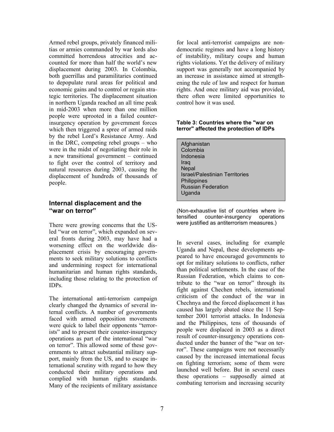Armed rebel groups, privately financed militias or armies commanded by war lords also committed horrendous atrocities and accounted for more than half the world's new displacement during 2003. In Colombia, both guerrillas and paramilitaries continued to depopulate rural areas for political and economic gains and to control or regain strategic territories. The displacement situation in northern Uganda reached an all time peak in mid-2003 when more than one million people were uprooted in a failed counterinsurgency operation by government forces which then triggered a spree of armed raids by the rebel Lord's Resistance Army. And in the DRC, competing rebel groups – who were in the midst of negotiating their role in a new transitional government – continued to fight over the control of territory and natural resources during 2003, causing the displacement of hundreds of thousands of people.

#### **Internal displacement and the "war on terror"**

There were growing concerns that the USled "war on terror", which expanded on several fronts during 2003, may have had a worsening effect on the worldwide displacement crisis by encouraging governments to seek military solutions to conflicts and undermining respect for international humanitarian and human rights standards, including those relating to the protection of IDPs.

The international anti-terrorism campaign clearly changed the dynamics of several internal conflicts. A number of governments faced with armed opposition movements were quick to label their opponents "terrorists" and to present their counter-insurgency operations as part of the international "war on terror". This allowed some of these governments to attract substantial military support, mainly from the US, and to escape international scrutiny with regard to how they conducted their military operations and complied with human rights standards. Many of the recipients of military assistance

for local anti-terrorist campaigns are nondemocratic regimes and have a long history of instability, military coups and human rights violations. Yet the delivery of military support was generally not accompanied by an increase in assistance aimed at strengthening the rule of law and respect for human rights. And once military aid was provided, there often were limited opportunities to control how it was used.

#### **Table 3: Countries where the "war on terror" affected the protection of IDPs**

Afghanistan Colombia Indonesia Iraq **Nepal** Israel/Palestinian Territories **Philippines** Russian Federation **Uganda** 

(Non-exhaustive list of countries where intensified counter-insurgency operations were justified as antiterrorism measures.)

In several cases, including for example Uganda and Nepal, these developments appeared to have encouraged governments to opt for military solutions to conflicts, rather than political settlements. In the case of the Russian Federation, which claims to contribute to the "war on terror" through its fight against Chechen rebels, international criticism of the conduct of the war in Chechnya and the forced displacement it has caused has largely abated since the 11 September 2001 terrorist attacks. In Indonesia and the Philippines, tens of thousands of people were displaced in 2003 as a direct result of counter-insurgency operations conducted under the banner of the "war on terror". These campaigns were not necessarily caused by the increased international focus on fighting terrorism; some of them were launched well before. But in several cases these operations – supposedly aimed at combating terrorism and increasing security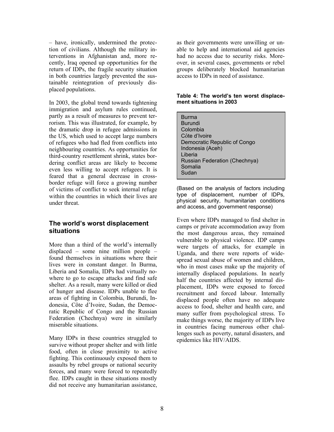– have, ironically, undermined the protection of civilians. Although the military interventions in Afghanistan and, more recently, Iraq opened up opportunities for the return of IDPs, the fragile security situation in both countries largely prevented the sustainable reintegration of previously displaced populations.

In 2003, the global trend towards tightening immigration and asylum rules continued, partly as a result of measures to prevent terrorism. This was illustrated, for example, by the dramatic drop in refugee admissions in the US, which used to accept large numbers of refugees who had fled from conflicts into neighbouring countries. As opportunities for third-country resettlement shrink, states bordering conflict areas are likely to become even less willing to accept refugees. It is feared that a general decrease in crossborder refuge will force a growing number of victims of conflict to seek internal refuge within the countries in which their lives are under threat.

#### **The world's worst displacement situations**

More than a third of the world's internally displaced – some nine million people – found themselves in situations where their lives were in constant danger. In Burma, Liberia and Somalia, IDPs had virtually nowhere to go to escape attacks and find safe shelter. As a result, many were killed or died of hunger and disease. IDPs unable to flee areas of fighting in Colombia, Burundi, Indonesia, Côte d'Ivoire, Sudan, the Democratic Republic of Congo and the Russian Federation (Chechnya) were in similarly miserable situations.

Many IDPs in these countries struggled to survive without proper shelter and with little food, often in close proximity to active fighting. This continuously exposed them to assaults by rebel groups or national security forces, and many were forced to repeatedly flee. IDPs caught in these situations mostly did not receive any humanitarian assistance, as their governments were unwilling or unable to help and international aid agencies had no access due to security risks. Moreover, in several cases, governments or rebel groups deliberately blocked humanitarian access to IDPs in need of assistance.

#### **Table 4: The world's ten worst displacement situations in 2003**

Burma Burundi Colombia Côte d'Ivoire Democratic Republic of Congo Indonesia (Aceh) Liberia Russian Federation (Chechnya) Somalia Sudan

(Based on the analysis of factors including type of displacement, number of IDPs, physical security, humanitarian conditions and access, and government response)

Even where IDPs managed to find shelter in camps or private accommodation away from the most dangerous areas, they remained vulnerable to physical violence. IDP camps were targets of attacks, for example in Uganda, and there were reports of widespread sexual abuse of women and children, who in most cases make up the majority of internally displaced populations. In nearly half the countries affected by internal displacement, IDPs were exposed to forced recruitment and forced labour. Internally displaced people often have no adequate access to food, shelter and health care, and many suffer from psychological stress. To make things worse, the majority of IDPs live in countries facing numerous other challenges such as poverty, natural disasters, and epidemics like HIV/AIDS.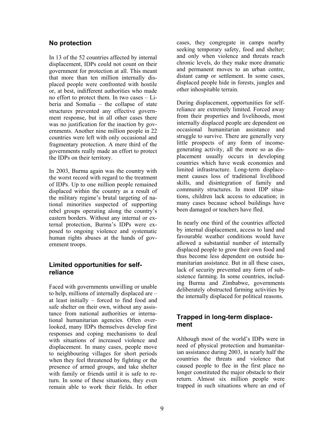#### **No protection**

In 13 of the 52 countries affected by internal displacement, IDPs could not count on their government for protection at all. This meant that more than ten million internally displaced people were confronted with hostile or, at best, indifferent authorities who made no effort to protect them. In two cases – Liberia and Somalia – the collapse of state structures prevented any effective government response, but in all other cases there was no justification for the inaction by governments. Another nine million people in 22 countries were left with only occasional and fragmentary protection. A mere third of the governments really made an effort to protect the IDPs on their territory.

In 2003, Burma again was the country with the worst record with regard to the treatment of IDPs. Up to one million people remained displaced within the country as a result of the military regime's brutal targeting of national minorities suspected of supporting rebel groups operating along the country's eastern borders. Without any internal or external protection, Burma's IDPs were exposed to ongoing violence and systematic human rights abuses at the hands of government troops.

#### **Limited opportunities for selfreliance**

Faced with governments unwilling or unable to help, millions of internally displaced are – at least initially – forced to find food and safe shelter on their own, without any assistance from national authorities or international humanitarian agencies. Often overlooked, many IDPs themselves develop first responses and coping mechanisms to deal with situations of increased violence and displacement. In many cases, people move to neighbouring villages for short periods when they feel threatened by fighting or the presence of armed groups, and take shelter with family or friends until it is safe to return. In some of these situations, they even remain able to work their fields. In other

cases, they congregate in camps nearby seeking temporary safety, food and shelter; and only when violence and threats reach chronic levels, do they make more dramatic and permanent moves to an urban centre, distant camp or settlement. In some cases, displaced people hide in forests, jungles and other inhospitable terrain.

During displacement, opportunities for selfreliance are extremely limited. Forced away from their properties and livelihoods, most internally displaced people are dependent on occasional humanitarian assistance and struggle to survive. There are generally very little prospects of any form of incomegenerating activity, all the more so as displacement usually occurs in developing countries which have weak economies and limited infrastructure. Long-term displacement causes loss of traditional livelihood skills, and disintegration of family and community structures. In most IDP situations, children lack access to education; in many cases because school buildings have been damaged or teachers have fled.

In nearly one third of the countries affected by internal displacement, access to land and favourable weather conditions would have allowed a substantial number of internally displaced people to grow their own food and thus become less dependent on outside humanitarian assistance. But in all these cases, lack of security prevented any form of subsistence farming. In some countries, including Burma and Zimbabwe, governments deliberately obstructed farming activities by the internally displaced for political reasons.

#### **Trapped in long-term displacement**

Although most of the world's IDPs were in need of physical protection and humanitarian assistance during 2003, in nearly half the countries the threats and violence that caused people to flee in the first place no longer constituted the major obstacle to their return. Almost six million people were trapped in such situations where an end of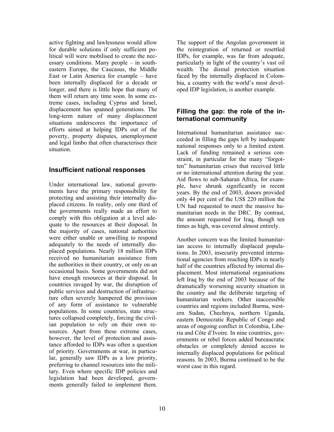active fighting and lawlessness would allow for durable solutions if only sufficient political will were mobilised to create the necessary conditions. Many people – in southeastern Europe, the Caucasus, the Middle East or Latin America for example – have been internally displaced for a decade or longer, and there is little hope that many of them will return any time soon. In some extreme cases, including Cyprus and Israel, displacement has spanned generations. The long-term nature of many displacement situations underscores the importance of efforts aimed at helping IDPs out of the poverty, property disputes, unemployment and legal limbo that often characterises their situation.

#### **Insufficient national responses**

Under international law, national governments have the primary responsibility for protecting and assisting their internally displaced citizens. In reality, only one third of the governments really made an effort to comply with this obligation at a level adequate to the resources at their disposal. In the majority of cases, national authorities were either unable or unwilling to respond adequately to the needs of internally displaced populations. Nearly 18 million IDPs received no humanitarian assistance from the authorities in their country, or only on an occasional basis. Some governments did not have enough resources at their disposal. In countries ravaged by war, the disruption of public services and destruction of infrastructure often severely hampered the provision of any form of assistance to vulnerable populations. In some countries, state structures collapsed completely, forcing the civilian population to rely on their own resources. Apart from these extreme cases, however, the level of protection and assistance afforded to IDPs was often a question of priority. Governments at war, in particular, generally saw IDPs as a low priority, preferring to channel resources into the military. Even where specific IDP policies and legislation had been developed, governments generally failed to implement them.

The support of the Angolan government in the reintegration of returned or resettled IDPs, for example, was far from adequate, particularly in light of the country's vast oil wealth. The dismal protection situation faced by the internally displaced in Colombia, a country with the world's most developed IDP legislation, is another example.

#### **Filling the gap: the role of the international community**

International humanitarian assistance succeeded in filling the gaps left by inadequate national responses only to a limited extent. Lack of funding remained a serious constraint, in particular for the many "forgotten" humanitarian crises that received little or no international attention during the year. Aid flows to sub-Saharan Africa, for example, have shrunk significantly in recent years. By the end of 2003, donors provided only 44 per cent of the US\$ 220 million the UN had requested to meet the massive humanitarian needs in the DRC. By contrast, the amount requested for Iraq, though ten times as high, was covered almost entirely.

Another concern was the limited humanitarian access to internally displaced populations. In 2003, insecurity prevented international agencies from reaching IDPs in nearly half of the countries affected by internal displacement. Most international organisations left Iraq by the end of 2003 because of the dramatically worsening security situation in the country and the deliberate targeting of humanitarian workers. Other inaccessible countries and regions included Burma, western Sudan, Chechnya, northern Uganda, eastern Democratic Republic of Congo and areas of ongoing conflict in Colombia, Liberia and Côte d'Ivoire. In nine countries, governments or rebel forces added bureaucratic obstacles or completely denied access to internally displaced populations for political reasons. In 2003, Burma continued to be the worst case in this regard.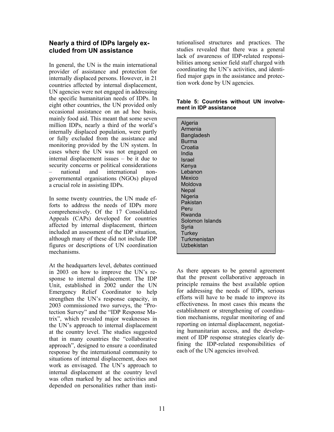#### **Nearly a third of IDPs largely excluded from UN assistance**

In general, the UN is the main international provider of assistance and protection for internally displaced persons. However, in 21 countries affected by internal displacement, UN agencies were not engaged in addressing the specific humanitarian needs of IDPs. In eight other countries, the UN provided only occasional assistance on an ad hoc basis, mainly food aid. This meant that some seven million IDPs, nearly a third of the world's internally displaced population, were partly or fully excluded from the assistance and monitoring provided by the UN system. In cases where the UN was not engaged on internal displacement issues – be it due to security concerns or political considerations – national and international nongovernmental organisations (NGOs) played a crucial role in assisting IDPs.

In some twenty countries, the UN made efforts to address the needs of IDPs more comprehensively. Of the 17 Consolidated Appeals (CAPs) developed for countries affected by internal displacement, thirteen included an assessment of the IDP situation, although many of these did not include IDP figures or descriptions of UN coordination mechanisms.

At the headquarters level, debates continued in 2003 on how to improve the UN's response to internal displacement. The IDP Unit, established in  $2002$  under the UN Emergency Relief Coordinator to help strengthen the UN's response capacity, in 2003 commissioned two surveys, the "Protection Survey" and the "IDP Response Matrix", which revealed major weaknesses in the UN's approach to internal displacement at the country level. The studies suggested that in many countries the "collaborative approach", designed to ensure a coordinated response by the international community to situations of internal displacement, does not work as envisaged. The UN's approach to internal displacement at the country level was often marked by ad hoc activities and depended on personalities rather than institutionalised structures and practices. The studies revealed that there was a general lack of awareness of IDP-related responsibilities among senior field staff charged with coordinating the UN's activities, and identified major gaps in the assistance and protection work done by UN agencies.

#### **Table 5: Countries without UN involvement in IDP assistance**

As there appears to be general agreement that the present collaborative approach in principle remains the best available option for addressing the needs of IDPs, serious efforts will have to be made to improve its effectiveness. In most cases this means the establishment or strengthening of coordination mechanisms, regular monitoring of and reporting on internal displacement, negotiating humanitarian access, and the development of IDP response strategies clearly defining the IDP-related responsibilities of each of the UN agencies involved.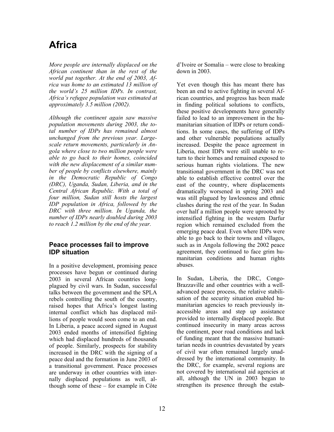# **Africa**

*More people are internally displaced on the African continent than in the rest of the world put together. At the end of 2003, Africa was home to an estimated 13 million of the world's 25 million IDPs. In contrast, Africa's refugee population was estimated at approximately 3.5 million (2002).* 

*Although the continent again saw massive population movements during 2003, the total number of IDPs has remained almost unchanged from the previous year. Largescale return movements, particularly in Angola where close to two million people were able to go back to their homes, coincided with the new displacement of a similar number of people by conflicts elsewhere, mainly in the Democratic Republic of Congo (DRC), Uganda, Sudan, Liberia, and in the Central African Republic. With a total of four million, Sudan still hosts the largest IDP population in Africa, followed by the DRC with three million. In Uganda, the number of IDPs nearly doubled during 2003 to reach 1.2 million by the end of the year.* 

#### **Peace processes fail to improve IDP situation**

In a positive development, promising peace processes have begun or continued during 2003 in several African countries longplagued by civil wars. In Sudan, successful talks between the government and the SPLA rebels controlling the south of the country, raised hopes that Africa's longest lasting internal conflict which has displaced millions of people would soon come to an end. In Liberia, a peace accord signed in August 2003 ended months of intensified fighting which had displaced hundreds of thousands of people. Similarly, prospects for stability increased in the DRC with the signing of a peace deal and the formation in June 2003 of a transitional government. Peace processes are underway in other countries with internally displaced populations as well, although some of these – for example in Côte

d'Ivoire or Somalia – were close to breaking down in 2003.

Yet even though this has meant there has been an end to active fighting in several African countries, and progress has been made in finding political solutions to conflicts, these positive developments have generally failed to lead to an improvement in the humanitarian situation of IDPs or return conditions. In some cases, the suffering of IDPs and other vulnerable populations actually increased. Despite the peace agreement in Liberia, most IDPs were still unable to return to their homes and remained exposed to serious human rights violations. The new transitional government in the DRC was not able to establish effective control over the east of the country, where displacements dramatically worsened in spring 2003 and was still plagued by lawlessness and ethnic clashes during the rest of the year. In Sudan over half a million people were uprooted by intensified fighting in the western Darfur region which remained excluded from the emerging peace deal. Even where IDPs were able to go back to their towns and villages, such as in Angola following the 2002 peace agreement, they continued to face grim humanitarian conditions and human rights abuses.

In Sudan, Liberia, the DRC, Congo-Brazzaville and other countries with a welladvanced peace process, the relative stabilisation of the security situation enabled humanitarian agencies to reach previously inaccessible areas and step up assistance provided to internally displaced people. But continued insecurity in many areas across the continent, poor road conditions and lack of funding meant that the massive humanitarian needs in countries devastated by years of civil war often remained largely unaddressed by the international community. In the DRC, for example, several regions are not covered by international aid agencies at all, although the UN in 2003 began to strengthen its presence through the estab-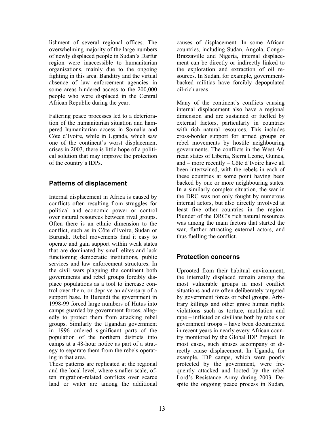lishment of several regional offices. The overwhelming majority of the large numbers of newly displaced people in Sudan's Darfur region were inaccessible to humanitarian organisations, mainly due to the ongoing fighting in this area. Banditry and the virtual absence of law enforcement agencies in some areas hindered access to the 200,000 people who were displaced in the Central African Republic during the year.

Faltering peace processes led to a deterioration of the humanitarian situation and hampered humanitarian access in Somalia and Côte d'Ivoire, while in Uganda, which saw one of the continent's worst displacement crises in 2003, there is little hope of a political solution that may improve the protection of the country's IDPs.

#### **Patterns of displacement**

Internal displacement in Africa is caused by conflicts often resulting from struggles for political and economic power or control over natural resources between rival groups. Often there is an ethnic dimension to the conflict, such as in Côte d'Ivoire, Sudan or Burundi. Rebel movements find it easy to operate and gain support within weak states that are dominated by small elites and lack functioning democratic institutions, public services and law enforcement structures. In the civil wars plaguing the continent both governments and rebel groups forcibly displace populations as a tool to increase control over them, or deprive an adversary of a support base. In Burundi the government in 1998-99 forced large numbers of Hutus into camps guarded by government forces, allegedly to protect them from attacking rebel groups. Similarly the Ugandan government in 1996 ordered significant parts of the population of the northern districts into camps at a 48-hour notice as part of a strategy to separate them from the rebels operating in that area.

These patterns are replicated at the regional and the local level, where smaller-scale, often migration-related conflicts over scarce land or water are among the additional

causes of displacement. In some African countries, including Sudan, Angola, Congo-Brazzaville and Nigeria, internal displacement can be directly or indirectly linked to the exploration and extraction of oil resources. In Sudan, for example, governmentbacked militias have forcibly depopulated oil-rich areas.

Many of the continent's conflicts causing internal displacement also have a regional dimension and are sustained or fuelled by external factors, particularly in countries with rich natural resources. This includes cross-border support for armed groups or rebel movements by hostile neighbouring governments. The conflicts in the West African states of Liberia, Sierra Leone, Guinea, and – more recently – Côte d'Ivoire have all been intertwined, with the rebels in each of these countries at some point having been backed by one or more neighbouring states. In a similarly complex situation, the war in the DRC was not only fought by numerous internal actors, but also directly involved at least five other countries in the region. Plunder of the DRC's rich natural resources was among the main factors that started the war, further attracting external actors, and thus fuelling the conflict.

#### **Protection concerns**

Uprooted from their habitual environment, the internally displaced remain among the most vulnerable groups in most conflict situations and are often deliberately targeted by government forces or rebel groups. Arbitrary killings and other grave human rights violations such as torture, mutilation and rape – inflicted on civilians both by rebels or government troops – have been documented in recent years in nearly every African country monitored by the Global IDP Project. In most cases, such abuses accompany or directly cause displacement. In Uganda, for example, IDP camps, which were poorly protected by the government, were frequently attacked and looted by the rebel Lord's Resistance Army during 2003. Despite the ongoing peace process in Sudan,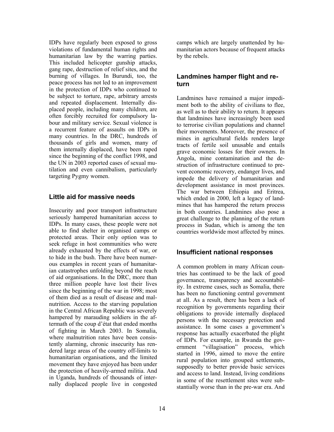IDPs have regularly been exposed to gross violations of fundamental human rights and humanitarian law by the warring parties. This included helicopter gunship attacks, gang rape, destruction of relief sites, and the burning of villages. In Burundi, too, the peace process has not led to an improvement in the protection of IDPs who continued to be subject to torture, rape, arbitrary arrests and repeated displacement. Internally displaced people, including many children, are often forcibly recruited for compulsory labour and military service. Sexual violence is a recurrent feature of assaults on IDPs in many countries. In the DRC, hundreds of thousands of girls and women, many of them internally displaced, have been raped since the beginning of the conflict 1998, and the UN in 2003 reported cases of sexual mutilation and even cannibalism, particularly targeting Pygmy women.

#### **Little aid for massive needs**

Insecurity and poor transport infrastructure seriously hampered humanitarian access to IDPs. In many cases, these people were not able to find shelter in organised camps or protected areas. Their only option was to seek refuge in host communities who were already exhausted by the effects of war, or to hide in the bush. There have been numerous examples in recent years of humanitarian catastrophes unfolding beyond the reach of aid organisations. In the DRC, more than three million people have lost their lives since the beginning of the war in 1998; most of them died as a result of disease and malnutrition. Access to the starving population in the Central African Republic was severely hampered by marauding soldiers in the aftermath of the coup d'état that ended months of fighting in March 2003. In Somalia, where malnutrition rates have been consistently alarming, chronic insecurity has rendered large areas of the country off-limits to humanitarian organisations, and the limited movement they have enjoyed has been under the protection of heavily-armed militia. And in Uganda, hundreds of thousands of internally displaced people live in congested

camps which are largely unattended by humanitarian actors because of frequent attacks by the rebels.

#### **Landmines hamper flight and return**

Landmines have remained a major impediment both to the ability of civilians to flee, as well as to their ability to return. It appears that landmines have increasingly been used to terrorise civilian populations and channel their movements. Moreover, the presence of mines in agricultural fields renders large tracts of fertile soil unusable and entails grave economic losses for their owners. In Angola, mine contamination and the destruction of infrastructure continued to prevent economic recovery, endanger lives, and impede the delivery of humanitarian and development assistance in most provinces. The war between Ethiopia and Eritrea, which ended in 2000, left a legacy of landmines that has hampered the return process in both countries. Landmines also pose a great challenge to the planning of the return process in Sudan, which is among the ten countries worldwide most affected by mines.

#### **Insufficient national responses**

A common problem in many African countries has continued to be the lack of good governance, transparency and accountability. In extreme cases, such as Somalia, there has been no functioning central government at all. As a result, there has been a lack of recognition by governments regarding their obligations to provide internally displaced persons with the necessary protection and assistance. In some cases a government's response has actually exacerbated the plight of IDPs. For example, in Rwanda the government "villagisation" process, which started in 1996, aimed to move the entire rural population into grouped settlements, supposedly to better provide basic services and access to land. Instead, living conditions in some of the resettlement sites were substantially worse than in the pre-war era. And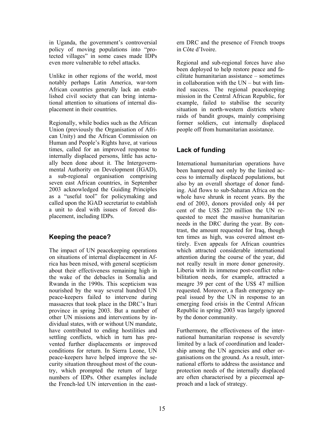in Uganda, the government's controversial policy of moving populations into "protected villages" in some cases made IDPs even more vulnerable to rebel attacks.

Unlike in other regions of the world, most notably perhaps Latin America, war-torn African countries generally lack an established civil society that can bring international attention to situations of internal displacement in their countries.

Regionally, while bodies such as the African Union (previously the Organisation of African Unity) and the African Commission on Human and People's Rights have, at various times, called for an improved response to internally displaced persons, little has actually been done about it. The Intergovernmental Authority on Development (IGAD), a sub-regional organisation comprising seven east African countries, in September 2003 acknowledged the Guiding Principles as a "useful tool" for policymaking and called upon the IGAD secretariat to establish a unit to deal with issues of forced displacement, including IDPs.

#### **Keeping the peace?**

The impact of UN peacekeeping operations on situations of internal displacement in Africa has been mixed, with general scepticism about their effectiveness remaining high in the wake of the debacles in Somalia and Rwanda in the 1990s. This scepticism was nourished by the way several hundred UN peace-keepers failed to intervene during massacres that took place in the DRC's Ituri province in spring 2003. But a number of other UN missions and interventions by individual states, with or without UN mandate, have contributed to ending hostilities and settling conflicts, which in turn has prevented further displacements or improved conditions for return. In Sierra Leone, UN peace-keepers have helped improve the security situation throughout most of the country, which prompted the return of large numbers of IDPs. Other examples include the French-led UN intervention in the eastern DRC and the presence of French troops in Côte d'Ivoire.

Regional and sub-regional forces have also been deployed to help restore peace and facilitate humanitarian assistance – sometimes in collaboration with the UN – but with limited success. The regional peacekeeping mission in the Central African Republic, for example, failed to stabilise the security situation in north-western districts where raids of bandit groups, mainly comprising former soldiers, cut internally displaced people off from humanitarian assistance.

#### **Lack of funding**

International humanitarian operations have been hampered not only by the limited access to internally displaced populations, but also by an overall shortage of donor funding. Aid flows to sub-Saharan Africa on the whole have shrunk in recent years. By the end of 2003, donors provided only 44 per cent of the US\$ 220 million the UN requested to meet the massive humanitarian needs in the DRC during the year. By contrast, the amount requested for Iraq, though ten times as high, was covered almost entirely. Even appeals for African countries which attracted considerable international attention during the course of the year, did not really result in more donor generosity. Liberia with its immense post-conflict rehabilitation needs, for example, attracted a meagre 39 per cent of the US\$ 47 million requested. Moreover, a flash emergency appeal issued by the UN in response to an emerging food crisis in the Central African Republic in spring 2003 was largely ignored by the donor community.

Furthermore, the effectiveness of the international humanitarian response is severely limited by a lack of coordination and leadership among the UN agencies and other organisations on the ground. As a result, international efforts to address the assistance and protection needs of the internally displaced are often characterised by a piecemeal approach and a lack of strategy.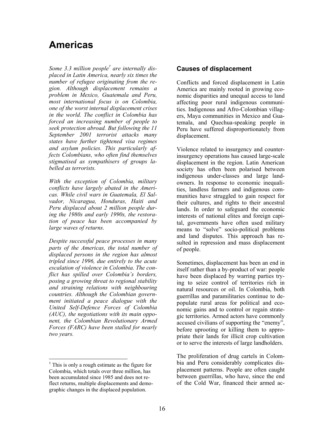## **Americas**

*Some 3.3 million people† are internally displaced in Latin America, nearly six times the number of refugee originating from the region. Although displacement remains a problem in Mexico, Guatemala and Peru, most international focus is on Colombia, one of the worst internal displacement crises in the world. The conflict in Colombia has forced an increasing number of people to seek protection abroad. But following the 11 September 2001 terrorist attacks many states have further tightened visa regimes and asylum policies. This particularly affects Colombians, who often find themselves stigmatised as sympathisers of groups labelled as terrorists.* 

*With the exception of Colombia, military conflicts have largely abated in the Americas. While civil wars in Guatemala, El Salvador, Nicaragua, Honduras, Haiti and Peru displaced about 2 million people during the 1980s and early 1990s, the restoration of peace has been accompanied by large waves of returns.* 

*Despite successful peace processes in many parts of the Americas, the total number of displaced persons in the region has almost tripled since 1996, due entirely to the acute escalation of violence in Colombia. The conflict has spilled over Colombia's borders, posing a growing threat to regional stability and straining relations with neighbouring countries. Although the Colombian government initiated a peace dialogue with the United Self-Defence Forces of Colombia (AUC), the negotiations with its main opponent, the Colombian Revolutionary Armed Forces (FARC) have been stalled for nearly two years.* 

 $\overline{a}$ 

#### **Causes of displacement**

Conflicts and forced displacement in Latin America are mainly rooted in growing economic disparities and unequal access to land affecting poor rural indigenous communities. Indigenous and Afro-Colombian villagers, Maya communities in Mexico and Guatemala, and Quechua-speaking people in Peru have suffered disproportionately from displacement.

Violence related to insurgency and counterinsurgency operations has caused large-scale displacement in the region. Latin American society has often been polarised between indigenous under-classes and large landowners. In response to economic inequalities, landless farmers and indigenous communities have struggled to gain respect for their cultures, and rights to their ancestral lands. In order to safeguard the economic interests of national elites and foreign capital, governments have often used military means to "solve" socio-political problems and land disputes. This approach has resulted in repression and mass displacement of people.

Sometimes, displacement has been an end in itself rather than a by-product of war: people have been displaced by warring parties trying to seize control of territories rich in natural resources or oil. In Colombia, both guerrillas and paramilitaries continue to depopulate rural areas for political and economic gains and to control or regain strategic territories. Armed actors have commonly accused civilians of supporting the "enemy", before uprooting or killing them to appropriate their lands for illicit crop cultivation or to serve the interests of large landholders.

The proliferation of drug cartels in Colombia and Peru considerably complicates displacement patterns. People are often caught between guerrillas, who have, since the end of the Cold War, financed their armed ac-

<sup>†</sup> This is only a rough estimate as the figure for Colombia, which totals over three million, has been accumulated since 1985 and does not reflect returns, multiple displacements and demographic changes in the displaced population.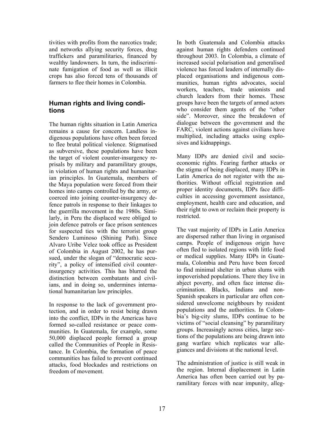tivities with profits from the narcotics trade; and networks allying security forces, drug traffickers and paramilitaries, financed by wealthy landowners. In turn, the indiscriminate fumigation of food as well as illicit crops has also forced tens of thousands of farmers to flee their homes in Colombia.

#### **Human rights and living conditions**

The human rights situation in Latin America remains a cause for concern. Landless indigenous populations have often been forced to flee brutal political violence. Stigmatised as subversive, these populations have been the target of violent counter-insurgency reprisals by military and paramilitary groups, in violation of human rights and humanitarian principles. In Guatemala, members of the Maya population were forced from their homes into camps controlled by the army, or coerced into joining counter-insurgency defence patrols in response to their linkages to the guerrilla movement in the 1980s. Similarly, in Peru the displaced were obliged to join defence patrols or face prison sentences for suspected ties with the terrorist group Sendero Luminoso (Shining Path). Since Alvaro Uribe Velez took office as President of Colombia in August 2002, he has pursued, under the slogan of "democratic security", a policy of intensified civil counterinsurgency activities. This has blurred the distinction between combatants and civilians, and in doing so, undermines international humanitarian law principles.

In response to the lack of government protection, and in order to resist being drawn into the conflict, IDPs in the Americas have formed so-called resistance or peace communities. In Guatemala, for example, some 50,000 displaced people formed a group called the Communities of People in Resistance. In Colombia, the formation of peace communities has failed to prevent continued attacks, food blockades and restrictions on freedom of movement.

In both Guatemala and Colombia attacks against human rights defenders continued throughout 2003. In Colombia, a climate of increased social polarisation and generalised violence has forced leaders of internally displaced organisations and indigenous communities, human rights advocates, social workers, teachers, trade unionists and church leaders from their homes. These groups have been the targets of armed actors who consider them agents of the "other side". Moreover, since the breakdown of dialogue between the government and the FARC, violent actions against civilians have multiplied, including attacks using explosives and kidnappings.

Many IDPs are denied civil and socioeconomic rights. Fearing further attacks or the stigma of being displaced, many IDPs in Latin America do not register with the authorities. Without official registration and proper identity documents, IDPs face difficulties in accessing government assistance, employment, health care and education, and their right to own or reclaim their property is restricted.

The vast majority of IDPs in Latin America are dispersed rather than living in organised camps. People of indigenous origin have often fled to isolated regions with little food or medical supplies. Many IDPs in Guatemala, Colombia and Peru have been forced to find minimal shelter in urban slums with impoverished populations. There they live in abject poverty, and often face intense discrimination. Blacks, Indians and non-Spanish speakers in particular are often considered unwelcome neighbours by resident populations and the authorities. In Colombia's big-city slums, IDPs continue to be victims of "social cleansing" by paramilitary groups. Increasingly across cities, large sections of the populations are being drawn into gang warfare which replicates war allegiances and divisions at the national level.

The administration of justice is still weak in the region. Internal displacement in Latin America has often been carried out by paramilitary forces with near impunity, alleg-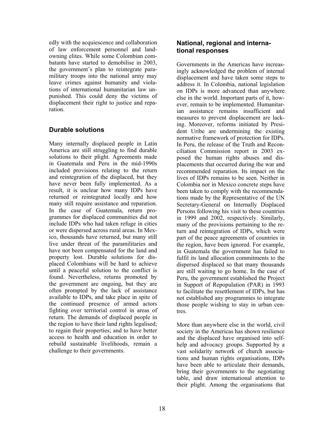edly with the acquiescence and collaboration of law enforcement personnel and landowning elites. While some Colombian combatants have started to demobilise in 2003, the government's plan to reintegrate paramilitary troops into the national army may leave crimes against humanity and violations of international humanitarian law unpunished. This could deny the victims of displacement their right to justice and reparation.

#### **Durable solutions**

Many internally displaced people in Latin America are still struggling to find durable solutions to their plight. Agreements made in Guatemala and Peru in the mid-1990s included provisions relating to the return and reintegration of the displaced, but they have never been fully implemented. As a result, it is unclear how many IDPs have returned or reintegrated locally and how many still require assistance and reparation. In the case of Guatemala, return programmes for displaced communities did not include IDPs who had taken refuge in cities or were dispersed across rural areas. In Mexico, thousands have returned, but many still live under threat of the paramilitaries and have not been compensated for the land and property lost. Durable solutions for displaced Colombians will be hard to achieve until a peaceful solution to the conflict is found. Nevertheless, returns promoted by the government are ongoing, but they are often prompted by the lack of assistance available to IDPs, and take place in spite of the continued presence of armed actors fighting over territorial control in areas of return. The demands of displaced people in the region to have their land rights legalised; to regain their properties; and to have better access to health and education in order to rebuild sustainable livelihoods, remain a challenge to their governments.

#### **National, regional and international responses**

Governments in the Americas have increasingly acknowledged the problem of internal displacement and have taken some steps to address it. In Colombia, national legislation on IDPs is more advanced than anywhere else in the world. Important parts of it, however, remain to be implemented. Humanitarian assistance remains insufficient and measures to prevent displacement are lacking. Moreover, reforms initiated by President Uribe are undermining the existing normative framework of protection for IDPs. In Peru, the release of the Truth and Reconciliation Commission report in 2003 exposed the human rights abuses and displacements that occurred during the war and recommended reparation. Its impact on the lives of IDPs remains to be seen. Neither in Colombia nor in Mexico concrete steps have been taken to comply with the recommendations made by the Representative of the UN Secretary-General on Internally Displaced Persons following his visit to these countries in 1999 and 2002, respectively. Similarly, many of the provisions pertaining to the return and reintegration of IDPs, which were part of the peace agreements of countries in the region, have been ignored. For example, in Guatemala the government has failed to fulfil its land allocation commitments to the dispersed displaced so that many thousands are still waiting to go home. In the case of Peru, the government established the Project in Support of Repopulation (PAR) in 1993 to facilitate the resettlement of IDPs, but has not established any programmes to integrate those people wishing to stay in urban centres.

More than anywhere else in the world, civil society in the Americas has shown resilience and the displaced have organised into selfhelp and advocacy groups. Supported by a vast solidarity network of church associations and human rights organisations, IDPs have been able to articulate their demands, bring their governments to the negotiating table, and draw international attention to their plight. Among the organisations that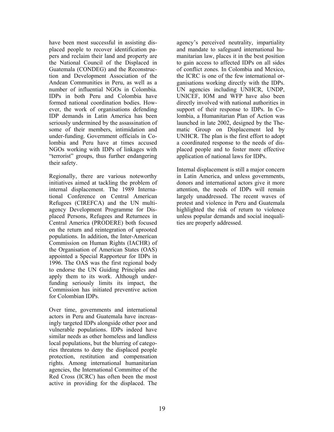have been most successful in assisting displaced people to recover identification papers and reclaim their land and property are the National Council of the Displaced in Guatemala (CONDEG) and the Reconstruction and Development Association of the Andean Communities in Peru, as well as a number of influential NGOs in Colombia. IDPs in both Peru and Colombia have formed national coordination bodies. However, the work of organisations defending IDP demands in Latin America has been seriously undermined by the assassination of some of their members, intimidation and under-funding. Government officials in Colombia and Peru have at times accused NGOs working with IDPs of linkages with "terrorist" groups, thus further endangering their safety.

Regionally, there are various noteworthy initiatives aimed at tackling the problem of internal displacement. The 1989 International Conference on Central American Refugees (CIREFCA) and the UN multiagency Development Programme for Displaced Persons, Refugees and Returnees in Central America (PRODERE) both focused on the return and reintegration of uprooted populations. In addition, the Inter-American Commission on Human Rights (IACHR) of the Organisation of American States (OAS) appointed a Special Rapporteur for IDPs in 1996. The OAS was the first regional body to endorse the UN Guiding Principles and apply them to its work. Although underfunding seriously limits its impact, the Commission has initiated preventive action for Colombian IDPs.

Over time, governments and international actors in Peru and Guatemala have increasingly targeted IDPs alongside other poor and vulnerable populations. IDPs indeed have similar needs as other homeless and landless local populations, but the blurring of categories threatens to deny the displaced people protection, restitution and compensation rights. Among international humanitarian agencies, the International Committee of the Red Cross (ICRC) has often been the most active in providing for the displaced. The

agency's perceived neutrality, impartiality and mandate to safeguard international humanitarian law, places it in the best position to gain access to affected IDPs on all sides of conflict zones. In Colombia and Mexico, the ICRC is one of the few international organisations working directly with the IDPs. UN agencies including UNHCR, UNDP, UNICEF, IOM and WFP have also been directly involved with national authorities in support of their response to IDPs. In Colombia, a Humanitarian Plan of Action was launched in late 2002, designed by the Thematic Group on Displacement led by UNHCR. The plan is the first effort to adopt a coordinated response to the needs of displaced people and to foster more effective application of national laws for IDPs.

Internal displacement is still a major concern in Latin America, and unless governments, donors and international actors give it more attention, the needs of IDPs will remain largely unaddressed. The recent waves of protest and violence in Peru and Guatemala highlighted the risk of return to violence unless popular demands and social inequalities are properly addressed.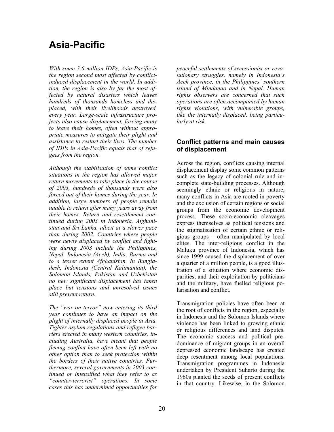## **Asia-Pacific**

*With some 3.6 million IDPs, Asia-Pacific is the region second most affected by conflictinduced displacement in the world. In addition, the region is also by far the most affected by natural disasters which leaves hundreds of thousands homeless and displaced, with their livelihoods destroyed, every year. Large-scale infrastructure projects also cause displacement, forcing many to leave their homes, often without appropriate measures to mitigate their plight and assistance to restart their lives. The number of IDPs in Asia-Pacific equals that of refugees from the region.* 

*Although the stabilisation of some conflict situations in the region has allowed major return movements to take place in the course of 2003, hundreds of thousands were also forced out of their homes during the year. In addition, large numbers of people remain unable to return after many years away from their homes. Return and resettlement continued during 2003 in Indonesia, Afghanistan and Sri Lanka, albeit at a slower pace than during 2002. Countries where people were newly displaced by conflict and fighting during 2003 include the Philippines, Nepal, Indonesia (Aceh), India, Burma and to a lesser extent Afghanistan. In Bangladesh, Indonesia (Central Kalimantan), the Solomon Islands, Pakistan and Uzbekistan no new significant displacement has taken place but tensions and unresolved issues still prevent return.* 

*The "war on terror" now entering its third year continues to have an impact on the plight of internally displaced people in Asia. Tighter asylum regulations and refugee barriers erected in many western countries, including Australia, have meant that people fleeing conflict have often been left with no other option than to seek protection within the borders of their native countries. Furthermore, several governments in 2003 continued or intensified what they refer to as "counter-terrorist" operations. In some cases this has undermined opportunities for* 

*peaceful settlements of secessionist or revolutionary struggles, namely in Indonesia's Aceh province, in the Philippines' southern island of Mindanao and in Nepal. Human rights observers are concerned that such operations are often accompanied by human rights violations, with vulnerable groups, like the internally displaced, being particularly at risk.* 

#### **Conflict patterns and main causes of displacement**

Across the region, conflicts causing internal displacement display some common patterns such as the legacy of colonial rule and incomplete state-building processes. Although seemingly ethnic or religious in nature, many conflicts in Asia are rooted in poverty and the exclusion of certain regions or social groups from the economic development process. These socio-economic cleavages express themselves as political tensions and the stigmatisation of certain ethnic or religious groups – often manipulated by local elites. The inter-religious conflict in the Maluku province of Indonesia, which has since 1999 caused the displacement of over a quarter of a million people, is a good illustration of a situation where economic disparities, and their exploitation by politicians and the military, have fuelled religious polarisation and conflict.

Transmigration policies have often been at the root of conflicts in the region, especially in Indonesia and the Solomon Islands where violence has been linked to growing ethnic or religious differences and land disputes. The economic success and political predominance of migrant groups in an overall depressed economic landscape has created deep resentment among local populations. Transmigration programmes in Indonesia undertaken by President Suharto during the 1960s planted the seeds of present conflicts in that country. Likewise, in the Solomon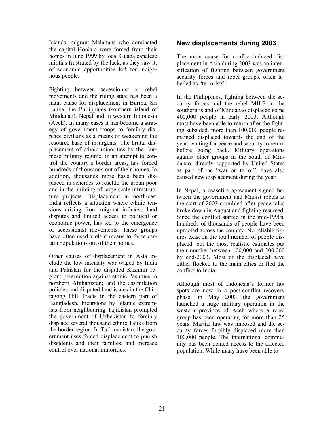Islands, migrant Malaitans who dominated the capital Honiara were forced from their homes in June 1999 by local Guadalcanalese militias frustrated by the lack, as they saw it, of economic opportunities left for indigenous people.

Fighting between secessionist or rebel movements and the ruling state has been a main cause for displacement in Burma, Sri Lanka, the Philippines (southern island of Mindanao), Nepal and in western Indonesia (Aceh). In many cases it has become a strategy of government troops to forcibly displace civilians as a means of weakening the resource base of insurgents. The brutal displacement of ethnic minorities by the Burmese military regime, in an attempt to control the country's border areas, has forced hundreds of thousands out of their homes. In addition, thousands more have been displaced in schemes to resettle the urban poor and in the building of large-scale infrastructure projects. Displacement in north-east India reflects a situation where ethnic tensions arising from migrant influxes, land disputes and limited access to political or economic power, has led to the emergence of secessionist movements. These groups have often used violent means to force certain populations out of their homes.

Other causes of displacement in Asia include the low intensity war waged by India and Pakistan for the disputed Kashmir region; persecution against ethnic Pashtuns in northern Afghanistan; and the assimilation policies and disputed land issues in the Chittagong Hill Tracts in the eastern part of Bangladesh. Incursions by Islamic extremists from neighbouring Tajikistan prompted the government of Uzbekistan to forcibly displace several thousand ethnic Tajiks from the border region. In Turkmenistan, the government uses forced displacement to punish dissidents and their families, and increase control over national minorities.

#### **New displacements during 2003**

The main cause for conflict-induced displacement in Asia during 2003 was an intensification of fighting between government security forces and rebel groups, often labelled as "terrorists".

In the Philippines, fighting between the security forces and the rebel MILF in the southern island of Mindanao displaced some 400,000 people in early 2003. Although most have been able to return after the fighting subsided, more than 100,000 people remained displaced towards the end of the year, waiting for peace and security to return before going back. Military operations against other groups in the south of Mindanao, directly supported by United States as part of the "war on terror", have also caused new displacement during the year.

In Nepal, a ceasefire agreement signed between the government and Maoist rebels at the start of 2003 crumbled after peace talks broke down in August and fighting resumed. Since the conflict started in the mid-1990s, hundreds of thousands of people have been uprooted across the country. No reliable figures exist on the total number of people displaced, but the most realistic estimates put their number between 100,000 and 200,000 by end-2003. Most of the displaced have either flocked to the main cities or fled the conflict to India.

Although most of Indonesia's former hot spots are now in a post-conflict recovery phase, in May 2003 the government launched a huge military operation in the western province of Aceh where a rebel group has been operating for more than 25 years. Martial law was imposed and the security forces forcibly displaced more than 100,000 people. The international community has been denied access to the affected population. While many have been able to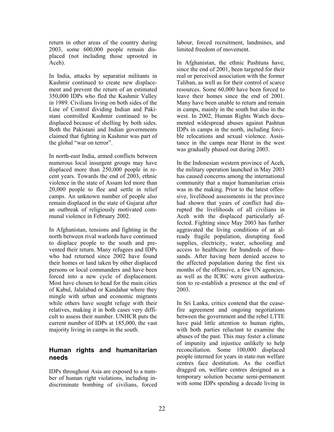return in other areas of the country during 2003, some 600,000 people remain displaced (not including those uprooted in Aceh).

In India, attacks by separatist militants in Kashmir continued to create new displacement and prevent the return of an estimated 350,000 IDPs who fled the Kashmir Valley in 1989. Civilians living on both sides of the Line of Control dividing Indian and Pakistani controlled Kashmir continued to be displaced because of shelling by both sides. Both the Pakistani and Indian governments claimed that fighting in Kashmir was part of the global "war on terror".

In north-east India, armed conflicts between numerous local insurgent groups may have displaced more than 250,000 people in recent years. Towards the end of 2003, ethnic violence in the state of Assam led more than 20,000 people to flee and settle in relief camps. An unknown number of people also remain displaced in the state of Gujarat after an outbreak of religiously motivated communal violence in February 2002.

In Afghanistan, tensions and fighting in the north between rival warlords have continued to displace people to the south and prevented their return. Many refugees and IDPs who had returned since 2002 have found their homes or land taken by other displaced persons or local commanders and have been forced into a new cycle of displacement. Most have chosen to head for the main cities of Kabul, Jalalabad or Kandahar where they mingle with urban and economic migrants while others have sought refuge with their relatives, making it in both cases very difficult to assess their number. UNHCR puts the current number of IDPs at 185,000, the vast majority living in camps in the south.

#### **Human rights and humanitarian needs**

IDPs throughout Asia are exposed to a number of human right violations, including indiscriminate bombing of civilians, forced labour, forced recruitment, landmines, and limited freedom of movement.

In Afghanistan, the ethnic Pashtuns have, since the end of 2001, been targeted for their real or perceived association with the former Taliban, as well as for their control of scarce resources. Some 60,000 have been forced to leave their homes since the end of 2001. Many have been unable to return and remain in camps, mainly in the south but also in the west. In 2002, Human Rights Watch documented widespread abuses against Pashtun IDPs in camps in the north, including forcible relocations and sexual violence. Assistance in the camps near Herat in the west was gradually phased out during 2003.

In the Indonesian western province of Aceh, the military operation launched in May 2003 has caused concerns among the international community that a major humanitarian crisis was in the making. Prior to the latest offensive, livelihood assessments in the province had shown that years of conflict had disrupted the livelihoods of all civilians in Aceh with the displaced particularly affected. Fighting since May 2003 has further aggravated the living conditions of an already fragile population, disrupting food supplies, electricity, water, schooling and access to healthcare for hundreds of thousands. After having been denied access to the affected population during the first six months of the offensive, a few UN agencies, as well as the ICRC were given authorization to re-establish a presence at the end of 2003.

In Sri Lanka, critics contend that the ceasefire agreement and ongoing negotiations between the government and the rebel LTTE have paid little attention to human rights, with both parties reluctant to examine the abuses of the past. This may foster a climate of impunity and injustice unlikely to help reconciliation. Some 100,000 displaced people interned for years in state-run welfare centres face destitution. As the conflict dragged on, welfare centres designed as a temporary solution became semi-permanent with some IDPs spending a decade living in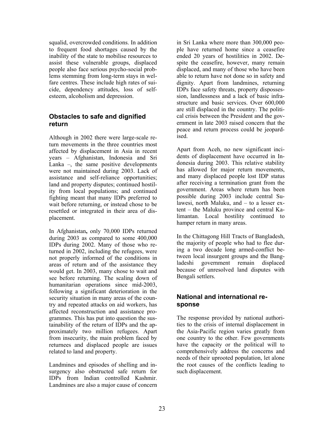squalid, overcrowded conditions. In addition to frequent food shortages caused by the inability of the state to mobilise resources to assist these vulnerable groups, displaced people also face serious psycho-social problems stemming from long-term stays in welfare centres. These include high rates of suicide, dependency attitudes, loss of selfesteem, alcoholism and depression.

#### **Obstacles to safe and dignified return**

Although in 2002 there were large-scale return movements in the three countries most affected by displacement in Asia in recent years – Afghanistan, Indonesia and Sri Lanka  $-$ , the same positive developments were not maintained during 2003. Lack of assistance and self-reliance opportunities; land and property disputes; continued hostility from local populations; and continued fighting meant that many IDPs preferred to wait before returning, or instead chose to be resettled or integrated in their area of displacement.

In Afghanistan**,** only 70,000 IDPs returned during 2003 as compared to some 400,000 IDPs during 2002. Many of those who returned in 2002, including the refugees, were not properly informed of the conditions in areas of return and of the assistance they would get. In 2003, many chose to wait and see before returning. The scaling down of humanitarian operations since mid-2003, following a significant deterioration in the security situation in many areas of the country and repeated attacks on aid workers, has affected reconstruction and assistance programmes. This has put into question the sustainability of the return of IDPs and the approximately two million refugees. Apart from insecurity, the main problem faced by returnees and displaced people are issues related to land and property.

Landmines and episodes of shelling and insurgency also obstructed safe return for IDPs from Indian controlled Kashmir. Landmines are also a major cause of concern in Sri Lanka where more than 300,000 people have returned home since a ceasefire ended 20 years of hostilities in 2002. Despite the ceasefire, however, many remain displaced, and many of those who have been able to return have not done so in safety and dignity. Apart from landmines, returning IDPs face safety threats, property dispossession, landlessness and a lack of basic infrastructure and basic services. Over 600,000 are still displaced in the country. The political crisis between the President and the government in late 2003 raised concern that the peace and return process could be jeopardised.

Apart from Aceh, no new significant incidents of displacement have occurred in Indonesia during 2003. This relative stability has allowed for major return movements, and many displaced people lost IDP status after receiving a termination grant from the government. Areas where return has been possible during 2003 include central Sulawesi, north Maluku, and – to a lesser extent – the Maluku province and central Kalimantan. Local hostility continued to hamper return in many areas.

In the Chittagong Hill Tracts of Bangladesh, the majority of people who had to flee during a two decade long armed-conflict between local insurgent groups and the Bangladeshi government remain displaced because of unresolved land disputes with Bengali settlers.

#### **National and international response**

The response provided by national authorities to the crisis of internal displacement in the Asia-Pacific region varies greatly from one country to the other. Few governments have the capacity or the political will to comprehensively address the concerns and needs of their uprooted population, let alone the root causes of the conflicts leading to such displacement.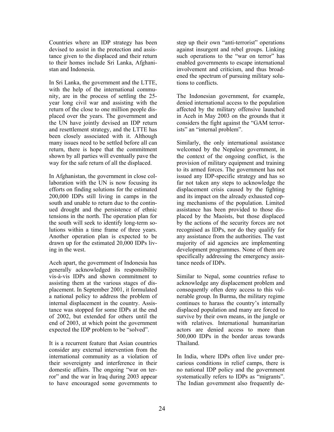Countries where an IDP strategy has been devised to assist in the protection and assistance given to the displaced and their return to their homes include Sri Lanka, Afghanistan and Indonesia.

In Sri Lanka, the government and the LTTE, with the help of the international community, are in the process of settling the 25 year long civil war and assisting with the return of the close to one million people displaced over the years. The government and the UN have jointly devised an IDP return and resettlement strategy, and the LTTE has been closely associated with it. Although many issues need to be settled before all can return, there is hope that the commitment shown by all parties will eventually pave the way for the safe return of all the displaced.

In Afghanistan, the government in close collaboration with the UN is now focusing its efforts on finding solutions for the estimated 200,000 IDPs still living in camps in the south and unable to return due to the continued drought and the persistence of ethnic tensions in the north. The operation plan for the south will seek to identify long-term solutions within a time frame of three years. Another operation plan is expected to be drawn up for the estimated 20,000 IDPs living in the west.

Aceh apart, the government of Indonesia has generally acknowledged its responsibility vis-à-vis IDPs and shown commitment to assisting them at the various stages of displacement. In September 2001, it formulated a national policy to address the problem of internal displacement in the country. Assistance was stopped for some IDPs at the end of 2002, but extended for others until the end of 2003, at which point the government expected the IDP problem to be "solved".

It is a recurrent feature that Asian countries consider any external intervention from the international community as a violation of their sovereignty and interference in their domestic affairs. The ongoing "war on terror" and the war in Iraq during 2003 appear to have encouraged some governments to

step up their own "anti-terrorist" operations against insurgent and rebel groups. Linking such operations to the "war on terror" has enabled governments to escape international involvement and criticism, and thus broadened the spectrum of pursuing military solutions to conflicts.

The Indonesian government, for example, denied international access to the population affected by the military offensive launched in Aceh in May 2003 on the grounds that it considers the fight against the "GAM terrorists" an "internal problem".

Similarly, the only international assistance welcomed by the Nepalese government, in the context of the ongoing conflict, is the provision of military equipment and training to its armed forces. The government has not issued any IDP-specific strategy and has so far not taken any steps to acknowledge the displacement crisis caused by the fighting and its impact on the already exhausted coping mechanisms of the population. Limited assistance has been provided to those displaced by the Maoists, but those displaced by the actions of the security forces are not recognised as IDPs, nor do they qualify for any assistance from the authorities. The vast majority of aid agencies are implementing development programmes. None of them are specifically addressing the emergency assistance needs of IDPs.

Similar to Nepal, some countries refuse to acknowledge any displacement problem and consequently often deny access to this vulnerable group. In Burma, the military regime continues to harass the country's internally displaced population and many are forced to survive by their own means, in the jungle or with relatives. International humanitarian actors are denied access to more than 500,000 IDPs in the border areas towards Thailand.

In India, where IDPs often live under precarious conditions in relief camps, there is no national IDP policy and the government systematically refers to IDPs as "migrants". The Indian government also frequently de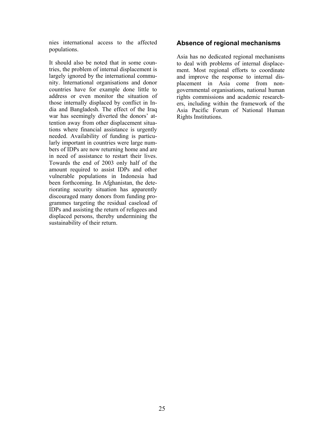nies international access to the affected populations.

It should also be noted that in some countries, the problem of internal displacement is largely ignored by the international community. International organisations and donor countries have for example done little to address or even monitor the situation of those internally displaced by conflict in India and Bangladesh. The effect of the Iraq war has seemingly diverted the donors' attention away from other displacement situations where financial assistance is urgently needed. Availability of funding is particularly important in countries were large numbers of IDPs are now returning home and are in need of assistance to restart their lives. Towards the end of 2003 only half of the amount required to assist IDPs and other vulnerable populations in Indonesia had been forthcoming. In Afghanistan, the deteriorating security situation has apparently discouraged many donors from funding programmes targeting the residual caseload of IDPs and assisting the return of refugees and displaced persons, thereby undermining the sustainability of their return.

#### **Absence of regional mechanisms**

Asia has no dedicated regional mechanisms to deal with problems of internal displacement. Most regional efforts to coordinate and improve the response to internal displacement in Asia come from nongovernmental organisations, national human rights commissions and academic researchers, including within the framework of the Asia Pacific Forum of National Human Rights Institutions.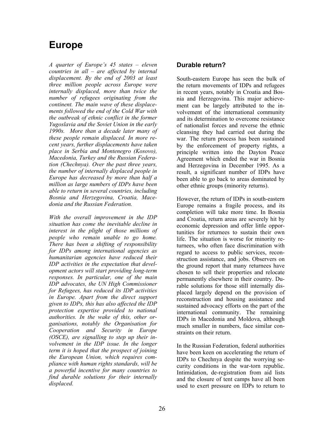## **Europe**

*A quarter of Europe's 45 states – eleven countries in all – are affected by internal displacement. By the end of 2003 at least three million people across Europe were internally displaced, more than twice the number of refugees originating from the continent. The main wave of these displacements followed the end of the Cold War with the outbreak of ethnic conflict in the former Yugoslavia and the Soviet Union in the early 1990s. More than a decade later many of these people remain displaced. In more recent years, further displacements have taken place in Serbia and Montenegro (Kosovo), Macedonia, Turkey and the Russian Federation (Chechnya). Over the past three years, the number of internally displaced people in Europe has decreased by more than half a million as large numbers of IDPs have been able to return in several countries, including Bosnia and Herzegovina, Croatia, Macedonia and the Russian Federation.* 

*With the overall improvement in the IDP situation has come the inevitable decline in interest in the plight of those millions of people who remain unable to go home. There has been a shifting of responsibility for IDPs among international agencies as humanitarian agencies have reduced their IDP activities in the expectation that development actors will start providing long-term responses. In particular, one of the main IDP advocates, the UN High Commissioner for Refugees, has reduced its IDP activities in Europe. Apart from the direct support given to IDPs, this has also affected the IDP protection expertise provided to national authorities. In the wake of this, other organisations, notably the Organisation for Cooperation and Security in Europe (OSCE), are signalling to step up their involvement in the IDP issue. In the longer term it is hoped that the prospect of joining the European Union, which requires compliance with human rights standards, will be a powerful incentive for many countries to find durable solutions for their internally displaced.*

#### **Durable return?**

South-eastern Europe has seen the bulk of the return movements of IDPs and refugees in recent years, notably in Croatia and Bosnia and Herzegovina. This major achievement can be largely attributed to the involvement of the international community and its determination to overcome resistance of nationalist forces and reverse the ethnic cleansing they had carried out during the war. The return process has been sustained by the enforcement of property rights, a principle written into the Dayton Peace Agreement which ended the war in Bosnia and Herzegovina in December 1995. As a result, a significant number of IDPs have been able to go back to areas dominated by other ethnic groups (minority returns).

However, the return of IDPs in south-eastern Europe remains a fragile process, and its completion will take more time. In Bosnia and Croatia, return areas are severely hit by economic depression and offer little opportunities for returnees to sustain their own life. The situation is worse for minority returnees, who often face discrimination with regard to access to public services, reconstruction assistance, and jobs. Observers on the ground report that many returnees have chosen to sell their properties and relocate permanently elsewhere in their country. Durable solutions for those still internally displaced largely depend on the provision of reconstruction and housing assistance and sustained advocacy efforts on the part of the international community. The remaining IDPs in Macedonia and Moldova, although much smaller in numbers, face similar constraints on their return.

In the Russian Federation, federal authorities have been keen on accelerating the return of IDPs to Chechnya despite the worrying security conditions in the war-torn republic. Intimidation, de-registration from aid lists and the closure of tent camps have all been used to exert pressure on IDPs to return to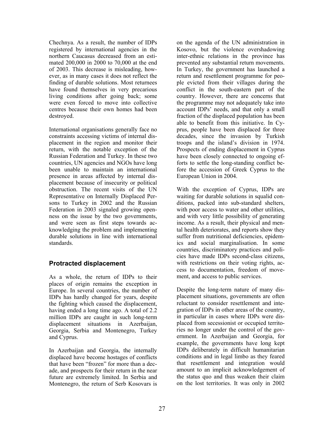Chechnya. As a result, the number of IDPs registered by international agencies in the northern Caucasus decreased from an estimated 200,000 in 2000 to 70,000 at the end of 2003. This decrease is misleading, however, as in many cases it does not reflect the finding of durable solutions. Most returnees have found themselves in very precarious living conditions after going back; some were even forced to move into collective centres because their own homes had been destroyed.

International organisations generally face no constraints accessing victims of internal displacement in the region and monitor their return, with the notable exception of the Russian Federation and Turkey. In these two countries, UN agencies and NGOs have long been unable to maintain an international presence in areas affected by internal displacement because of insecurity or political obstruction. The recent visits of the UN Representative on Internally Displaced Persons to Turkey in 2002 and the Russian Federation in 2003 signaled growing openness on the issue by the two governments, and were seen as first steps towards acknowledging the problem and implementing durable solutions in line with international standards.

#### **Protracted displacement**

As a whole, the return of IDPs to their places of origin remains the exception in Europe. In several countries, the number of IDPs has hardly changed for years, despite the fighting which caused the displacement, having ended a long time ago. A total of 2.2 million IDPs are caught in such long-term displacement situations in Azerbaijan, Georgia, Serbia and Montenegro, Turkey and Cyprus.

In Azerbaijan and Georgia, the internally displaced have become hostages of conflicts that have been "frozen" for more than a decade, and prospects for their return in the near future are extremely limited. In Serbia and Montenegro, the return of Serb Kosovars is

on the agenda of the UN administration in Kosovo, but the violence overshadowing inter-ethnic relations in the province has prevented any substantial return movements. In Turkey, the government has launched a return and resettlement programme for people evicted from their villages during the conflict in the south-eastern part of the country. However, there are concerns that the programme may not adequately take into account IDPs' needs, and that only a small fraction of the displaced population has been able to benefit from this initiative. In Cyprus, people have been displaced for three decades, since the invasion by Turkish troops and the island's division in 1974. Prospects of ending displacement in Cyprus have been closely connected to ongoing efforts to settle the long-standing conflict before the accession of Greek Cyprus to the European Union in 2004.

With the exception of Cyprus, IDPs are waiting for durable solutions in squalid conditions, packed into sub-standard shelters, with poor access to water and other utilities, and with very little possibility of generating income. As a result, their physical and mental health deteriorates, and reports show they suffer from nutritional deficiencies, epidemics and social marginalisation. In some countries, discriminatory practices and policies have made IDPs second-class citizens, with restrictions on their voting rights, access to documentation, freedom of movement, and access to public services.

Despite the long-term nature of many displacement situations, governments are often reluctant to consider resettlement and integration of IDPs in other areas of the country, in particular in cases where IDPs were displaced from secessionist or occupied territories no longer under the control of the government. In Azerbaijan and Georgia, for example, the governments have long kept IDPs deliberately in difficult humanitarian conditions and in legal limbo as they feared that resettlement and integration would amount to an implicit acknowledgement of the status quo and thus weaken their claim on the lost territories. It was only in 2002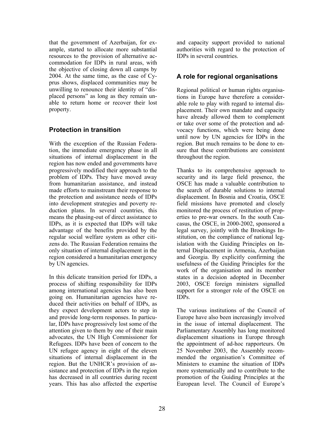that the government of Azerbaijan, for example, started to allocate more substantial resources to the provision of alternative accommodation for IDPs in rural areas, with the objective of closing down all camps by 2004. At the same time, as the case of Cyprus shows, displaced communities may be unwilling to renounce their identity of "displaced persons" as long as they remain unable to return home or recover their lost property.

#### **Protection in transition**

With the exception of the Russian Federation, the immediate emergency phase in all situations of internal displacement in the region has now ended and governments have progressively modified their approach to the problem of IDPs. They have moved away from humanitarian assistance, and instead made efforts to mainstream their response to the protection and assistance needs of IDPs into development strategies and poverty reduction plans. In several countries, this means the phasing-out of direct assistance to IDPs, as it is expected that IDPs will take advantage of the benefits provided by the regular social welfare system as other citizens do. The Russian Federation remains the only situation of internal displacement in the region considered a humanitarian emergency by UN agencies.

In this delicate transition period for IDPs, a process of shifting responsibility for IDPs among international agencies has also been going on. Humanitarian agencies have reduced their activities on behalf of IDPs, as they expect development actors to step in and provide long-term responses. In particular, IDPs have progressively lost some of the attention given to them by one of their main advocates, the UN High Commissioner for Refugees. IDPs have been of concern to the UN refugee agency in eight of the eleven situations of internal displacement in the region. But the UNHCR's provision of assistance and protection of IDPs in the region has decreased in all countries during recent years. This has also affected the expertise

and capacity support provided to national authorities with regard to the protection of IDPs in several countries.

#### **A role for regional organisations**

Regional political or human rights organisations in Europe have therefore a considerable role to play with regard to internal displacement. Their own mandate and capacity have already allowed them to complement or take over some of the protection and advocacy functions, which were being done until now by UN agencies for IDPs in the region. But much remains to be done to ensure that these contributions are consistent throughout the region.

Thanks to its comprehensive approach to security and its large field presence, the OSCE has made a valuable contribution to the search of durable solutions to internal displacement. In Bosnia and Croatia, OSCE field missions have promoted and closely monitored the process of restitution of properties to pre-war owners. In the south Caucasus, the OSCE, in 2000-2002, sponsored a legal survey, jointly with the Brookings Institution, on the compliance of national legislation with the Guiding Principles on Internal Displacement in Armenia, Azerbaijan and Georgia. By explicitly confirming the usefulness of the Guiding Principles for the work of the organisation and its member states in a decision adopted in December 2003, OSCE foreign ministers signalled support for a stronger role of the OSCE on IDPs.

The various institutions of the Council of Europe have also been increasingly involved in the issue of internal displacement. The Parliamentary Assembly has long monitored displacement situations in Europe through the appointment of ad-hoc rapporteurs. On 25 November 2003, the Assembly recommended the organisation's Committee of Ministers to examine the situation of IDPs more systematically and to contribute to the promotion of the Guiding Principles at the European level. The Council of Europe's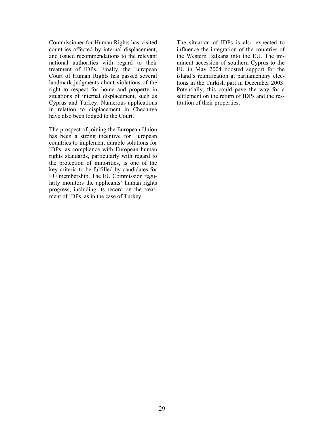Commissioner for Human Rights has visited countries affected by internal displacement, and issued recommendations to the relevant national authorities with regard to their treatment of IDPs. Finally, the European Court of Human Rights has passed several landmark judgments about violations of the right to respect for home and property in situations of internal displacement, such as Cyprus and Turkey. Numerous applications in relation to displacement in Chechnya have also been lodged to the Court.

The prospect of joining the European Union has been a strong incentive for European countries to implement durable solutions for IDPs, as compliance with European human rights standards, particularly with regard to the protection of minorities, is one of the key criteria to be fulfilled by candidates for EU membership. The EU Commission regularly monitors the applicants' human rights progress, including its record on the treatment of IDPs, as in the case of Turkey.

The situation of IDPs is also expected to influence the integration of the countries of the Western Balkans into the EU. The imminent accession of southern Cyprus to the EU in May 2004 boosted support for the island's reunification at parliamentary elections in the Turkish part in December 2003. Potentially, this could pave the way for a settlement on the return of IDPs and the restitution of their properties.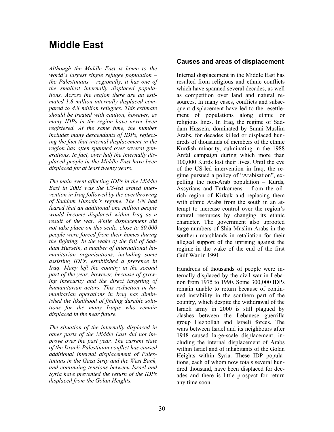## **Middle East**

*Although the Middle East is home to the world's largest single refugee population – the Palestinians – regionally, it has one of the smallest internally displaced populations. Across the region there are an estimated 1.8 million internally displaced compared to 4.8 million refugees. This estimate should be treated with caution, however, as many IDPs in the region have never been registered. At the same time, the number includes many descendants of IDPs, reflecting the fact that internal displacement in the region has often spanned over several generations. In fact, over half the internally displaced people in the Middle East have been displaced for at least twenty years.* 

*The main event affecting IDPs in the Middle East in 2003 was the US-led armed intervention in Iraq followed by the overthrowing of Saddam Hussein's regime. The UN had feared that an additional one million people would become displaced within Iraq as a result of the war. While displacement did not take place on this scale, close to 80,000 people were forced from their homes during the fighting. In the wake of the fall of Saddam Hussein, a number of international humanitarian organisations, including some assisting IDPs, established a presence in Iraq. Many left the country in the second part of the year, however, because of growing insecurity and the direct targeting of humanitarian actors. This reduction in humanitarian operations in Iraq has diminished the likelihood of finding durable solutions for the many Iraqis who remain displaced in the near future.* 

*The situation of the internally displaced in other parts of the Middle East did not improve over the past year. The current state of the Israeli-Palestinian conflict has caused additional internal displacement of Palestinians in the Gaza Strip and the West Bank, and continuing tensions between Israel and Syria have prevented the return of the IDPs displaced from the Golan Heights.*

#### **Causes and areas of displacement**

Internal displacement in the Middle East has resulted from religious and ethnic conflicts which have spanned several decades, as well as competition over land and natural resources. In many cases, conflicts and subsequent displacement have led to the resettlement of populations along ethnic or religious lines. In Iraq, the regime of Saddam Hussein, dominated by Sunni Muslim Arabs, for decades killed or displaced hundreds of thousands of members of the ethnic Kurdish minority, culminating in the 1988 Anfal campaign during which more than 100,000 Kurds lost their lives. Until the eve of the US-led intervention in Iraq, the regime pursued a policy of "Arabisation", expelling the non-Arab population – Kurds, Assyrians and Turkomens – from the oilrich region of Kirkuk and replacing them with ethnic Arabs from the south in an attempt to increase control over the region's natural resources by changing its ethnic character. The government also uprooted large numbers of Shia Muslim Arabs in the southern marshlands in retaliation for their alleged support of the uprising against the regime in the wake of the end of the first Gulf War in 1991.

Hundreds of thousands of people were internally displaced by the civil war in Lebanon from 1975 to 1990. Some 300,000 IDPs remain unable to return because of continued instability in the southern part of the country, which despite the withdrawal of the Israeli army in 2000 is still plagued by clashes between the Lebanese guerrilla group Hezbollah and Israeli forces. The wars between Israel and its neighbours after 1948 caused large-scale displacement, including the internal displacement of Arabs within Israel and of inhabitants of the Golan Heights within Syria. These IDP populations, each of whom now totals several hundred thousand, have been displaced for decades and there is little prospect for return any time soon.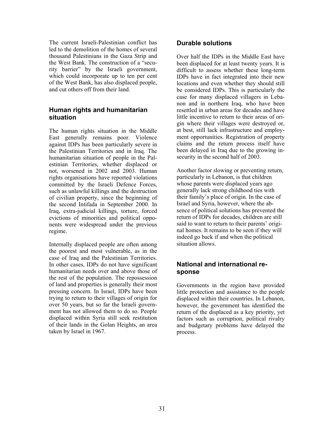The current Israeli-Palestinian conflict has led to the demolition of the homes of several thousand Palestinians in the Gaza Strip and the West Bank. The construction of a "security barrier" by the Israeli government, which could incorporate up to ten per cent of the West Bank, has also displaced people, and cut others off from their land.

#### **Human rights and humanitarian situation**

The human rights situation in the Middle East generally remains poor. Violence against IDPs has been particularly severe in the Palestinian Territories and in Iraq. The humanitarian situation of people in the Palestinian Territories, whether displaced or not, worsened in 2002 and 2003. Human rights organisations have reported violations committed by the Israeli Defence Forces, such as unlawful killings and the destruction of civilian property, since the beginning of the second Intifada in September 2000. In Iraq, extra-judicial killings, torture, forced evictions of minorities and political opponents were widespread under the previous regime.

Internally displaced people are often among the poorest and most vulnerable, as in the case of Iraq and the Palestinian Territories. In other cases, IDPs do not have significant humanitarian needs over and above those of the rest of the population. The repossession of land and properties is generally their most pressing concern. In Israel, IDPs have been trying to return to their villages of origin for over 50 years, but so far the Israeli government has not allowed them to do so. People displaced within Syria still seek restitution of their lands in the Golan Heights, an area taken by Israel in 1967.

#### **Durable solutions**

Over half the IDPs in the Middle East have been displaced for at least twenty years. It is difficult to assess whether these long-term IDPs have in fact integrated into their new locations and even whether they should still be considered IDPs. This is particularly the case for many displaced villagers in Lebanon and in northern Iraq, who have been resettled in urban areas for decades and have little incentive to return to their areas of origin where their villages were destroyed or, at best, still lack infrastructure and employment opportunities. Registration of property claims and the return process itself have been delayed in Iraq due to the growing insecurity in the second half of 2003.

Another factor slowing or preventing return, particularly in Lebanon, is that children whose parents were displaced years ago generally lack strong childhood ties with their family's place of origin. In the case of Israel and Syria, however, where the absence of political solutions has prevented the return of IDPs for decades, children are still said to want to return to their parents' original homes. It remains to be seen if they will indeed go back if and when the political situation allows.

#### **National and international response**

Governments in the region have provided little protection and assistance to the people displaced within their countries. In Lebanon, however, the government has identified the return of the displaced as a key priority, yet factors such as corruption, political rivalry and budgetary problems have delayed the process.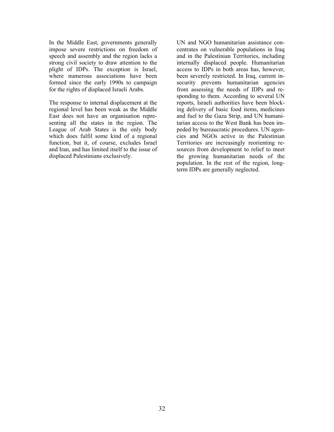In the Middle East, governments generally impose severe restrictions on freedom of speech and assembly and the region lacks a strong civil society to draw attention to the plight of IDPs. The exception is Israel, where numerous associations have been formed since the early 1990s to campaign for the rights of displaced Israeli Arabs.

The response to internal displacement at the regional level has been weak as the Middle East does not have an organisation representing all the states in the region. The League of Arab States is the only body which does fulfil some kind of a regional function, but it, of course, excludes Israel and Iran, and has limited itself to the issue of displaced Palestinians exclusively.

UN and NGO humanitarian assistance concentrates on vulnerable populations in Iraq and in the Palestinian Territories, including internally displaced people. Humanitarian access to IDPs in both areas has, however, been severely restricted. In Iraq, current insecurity prevents humanitarian agencies from assessing the needs of IDPs and responding to them. According to several UN reports, Israeli authorities have been blocking delivery of basic food items, medicines and fuel to the Gaza Strip, and UN humanitarian access to the West Bank has been impeded by bureaucratic procedures. UN agencies and NGOs active in the Palestinian Territories are increasingly reorienting resources from development to relief to meet the growing humanitarian needs of the population. In the rest of the region, longterm IDPs are generally neglected.